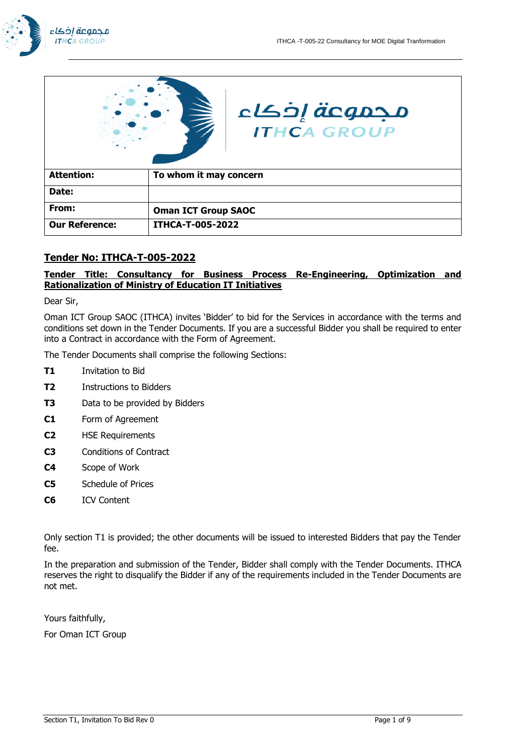



# **Tender No: ITHCA-T-005-2022**

## **Tender Title: Consultancy for Business Process Re-Engineering, Optimization and Rationalization of Ministry of Education IT Initiatives**

Dear Sir,

Oman ICT Group SAOC (ITHCA) invites 'Bidder' to bid for the Services in accordance with the terms and conditions set down in the Tender Documents. If you are a successful Bidder you shall be required to enter into a Contract in accordance with the Form of Agreement.

The Tender Documents shall comprise the following Sections:

- **T1** Invitation to Bid
- **T2** Instructions to Bidders
- **T3** Data to be provided by Bidders
- **C1** Form of Agreement
- **C2** HSE Requirements
- **C3** Conditions of Contract
- **C4** Scope of Work
- **C5** Schedule of Prices
- **C6** ICV Content

Only section T1 is provided; the other documents will be issued to interested Bidders that pay the Tender fee.

In the preparation and submission of the Tender, Bidder shall comply with the Tender Documents. ITHCA reserves the right to disqualify the Bidder if any of the requirements included in the Tender Documents are not met.

Yours faithfully,

For Oman ICT Group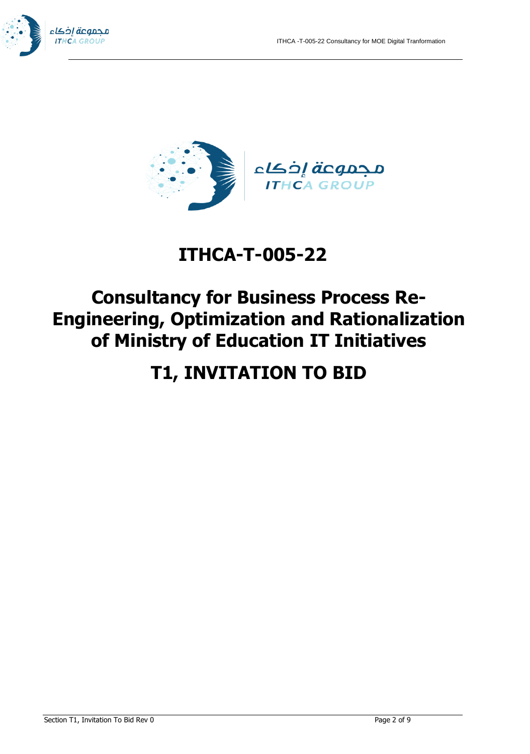



# **ITHCA-T-005-22**

# **Consultancy for Business Process Re-Engineering, Optimization and Rationalization of Ministry of Education IT Initiatives**

# **T1, INVITATION TO BID**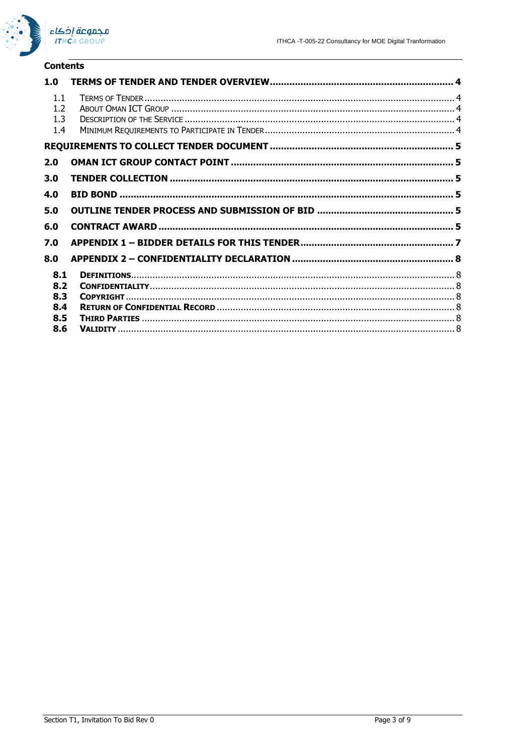

### **Contents**

| 1.0                      |  |
|--------------------------|--|
| 1.1<br>1.2<br>1.3<br>1.4 |  |
|                          |  |
| 2.0                      |  |
| 3.0                      |  |
| 4.0                      |  |
| 5.0                      |  |
| 6.0                      |  |
| 7.0                      |  |
| 8.0                      |  |
| 8.1                      |  |
| 8.2                      |  |
| 8.3                      |  |
| 8.4                      |  |
| 8.5                      |  |
| 8.6                      |  |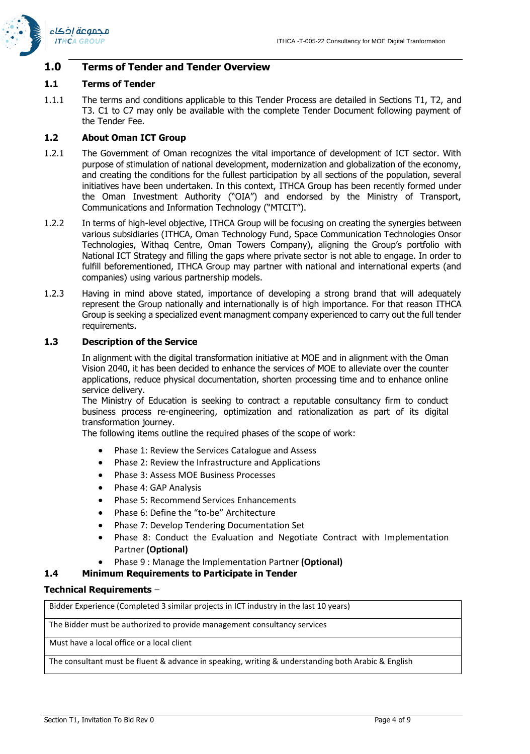

## **1.0 Terms of Tender and Tender Overview**

### **1.1 Terms of Tender**

1.1.1 The terms and conditions applicable to this Tender Process are detailed in Sections T1, T2, and T3. C1 to C7 may only be available with the complete Tender Document following payment of the Tender Fee.

## **1.2 About Oman ICT Group**

- 1.2.1 The Government of Oman recognizes the vital importance of development of ICT sector. With purpose of stimulation of national development, modernization and globalization of the economy, and creating the conditions for the fullest participation by all sections of the population, several initiatives have been undertaken. In this context, ITHCA Group has been recently formed under the Oman Investment Authority ("OIA") and endorsed by the Ministry of Transport, Communications and Information Technology ("MTCIT").
- 1.2.2 In terms of high-level objective, ITHCA Group will be focusing on creating the synergies between various subsidiaries (ITHCA, Oman Technology Fund, Space Communication Technologies Onsor Technologies, Withaq Centre, Oman Towers Company), aligning the Group's portfolio with National ICT Strategy and filling the gaps where private sector is not able to engage. In order to fulfill beforementioned, ITHCA Group may partner with national and international experts (and companies) using various partnership models.
- 1.2.3 Having in mind above stated, importance of developing a strong brand that will adequately represent the Group nationally and internationally is of high importance. For that reason ITHCA Group is seeking a specialized event managment company experienced to carry out the full tender requirements.

## **1.3 Description of the Service**

In alignment with the digital transformation initiative at MOE and in alignment with the Oman Vision 2040, it has been decided to enhance the services of MOE to alleviate over the counter applications, reduce physical documentation, shorten processing time and to enhance online service delivery.

The Ministry of Education is seeking to contract a reputable consultancy firm to conduct business process re-engineering, optimization and rationalization as part of its digital transformation journey.

The following items outline the required phases of the scope of work:

- Phase 1: Review the Services Catalogue and Assess
- Phase 2: Review the Infrastructure and Applications
- Phase 3: Assess MOE Business Processes
- Phase 4: GAP Analysis
- Phase 5: Recommend Services Enhancements
- Phase 6: Define the "to-be" Architecture
- Phase 7: Develop Tendering Documentation Set
- Phase 8: Conduct the Evaluation and Negotiate Contract with Implementation Partner **(Optional)**
- Phase 9 : Manage the Implementation Partner **(Optional)**

## **1.4 Minimum Requirements to Participate in Tender**

## **Technical Requirements** –

Bidder Experience (Completed 3 similar projects in ICT industry in the last 10 years)

The Bidder must be authorized to provide management consultancy services

Must have a local office or a local client

The consultant must be fluent & advance in speaking, writing & understanding both Arabic & English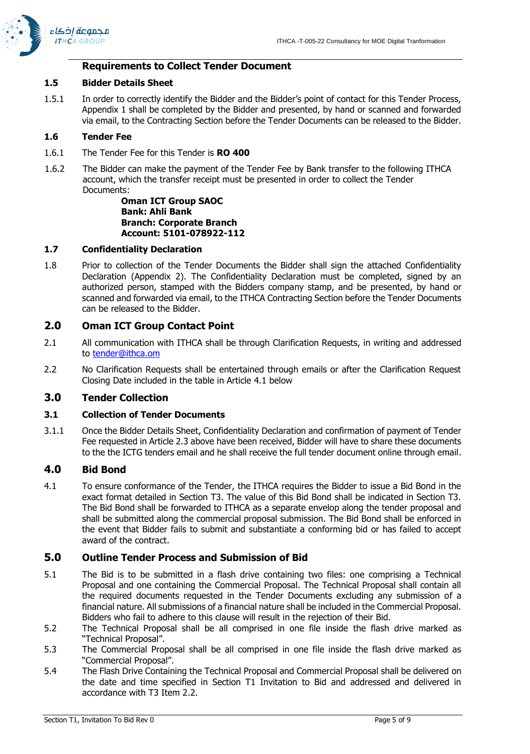

# **Requirements to Collect Tender Document**

# **1.5 Bidder Details Sheet**

1.5.1 In order to correctly identify the Bidder and the Bidder's point of contact for this Tender Process, Appendix 1 shall be completed by the Bidder and presented, by hand or scanned and forwarded via email, to the Contracting Section before the Tender Documents can be released to the Bidder.

# **1.6 Tender Fee**

- 1.6.1 The Tender Fee for this Tender is **RO 400**
- 1.6.2 The Bidder can make the payment of the Tender Fee by Bank transfer to the following ITHCA account, which the transfer receipt must be presented in order to collect the Tender Documents:

**Oman ICT Group SAOC Bank: Ahli Bank Branch: Corporate Branch Account: 5101-078922-112**

## **1.7 Confidentiality Declaration**

1.8 Prior to collection of the Tender Documents the Bidder shall sign the attached Confidentiality Declaration (Appendix 2). The Confidentiality Declaration must be completed, signed by an authorized person, stamped with the Bidders company stamp, and be presented, by hand or scanned and forwarded via email, to the ITHCA Contracting Section before the Tender Documents can be released to the Bidder.

# **2.0 Oman ICT Group Contact Point**

- 2.1 All communication with ITHCA shall be through Clarification Requests, in writing and addressed to [tender@ithca.om](mailto:tender@ithca.om)
- 2.2 No Clarification Requests shall be entertained through emails or after the Clarification Request Closing Date included in the table in Article [4.1 below](#page-4-0)

# **3.0 Tender Collection**

# **3.1 Collection of Tender Documents**

3.1.1 Once the Bidder Details Sheet, Confidentiality Declaration and confirmation of payment of Tender Fee requested in Article 2.3 above have been received, Bidder will have to share these documents to the the ICTG tenders email and he shall receive the full tender document online through email.

# **4.0 Bid Bond**

<span id="page-4-0"></span>4.1 To ensure conformance of the Tender, the ITHCA requires the Bidder to issue a Bid Bond in the exact format detailed in Section T3. The value of this Bid Bond shall be indicated in Section T3. The Bid Bond shall be forwarded to ITHCA as a separate envelop along the tender proposal and shall be submitted along the commercial proposal submission. The Bid Bond shall be enforced in the event that Bidder fails to submit and substantiate a conforming bid or has failed to accept award of the contract.

# **5.0 Outline Tender Process and Submission of Bid**

- 5.1 The Bid is to be submitted in a flash drive containing two files: one comprising a Technical Proposal and one containing the Commercial Proposal. The Technical Proposal shall contain all the required documents requested in the Tender Documents excluding any submission of a financial nature. All submissions of a financial nature shall be included in the Commercial Proposal. Bidders who fail to adhere to this clause will result in the rejection of their Bid.
- 5.2 The Technical Proposal shall be all comprised in one file inside the flash drive marked as "Technical Proposal".
- 5.3 The Commercial Proposal shall be all comprised in one file inside the flash drive marked as "Commercial Proposal".
- 5.4 The Flash Drive Containing the Technical Proposal and Commercial Proposal shall be delivered on the date and time specified in Section T1 Invitation to Bid and addressed and delivered in accordance with T3 Item 2.2.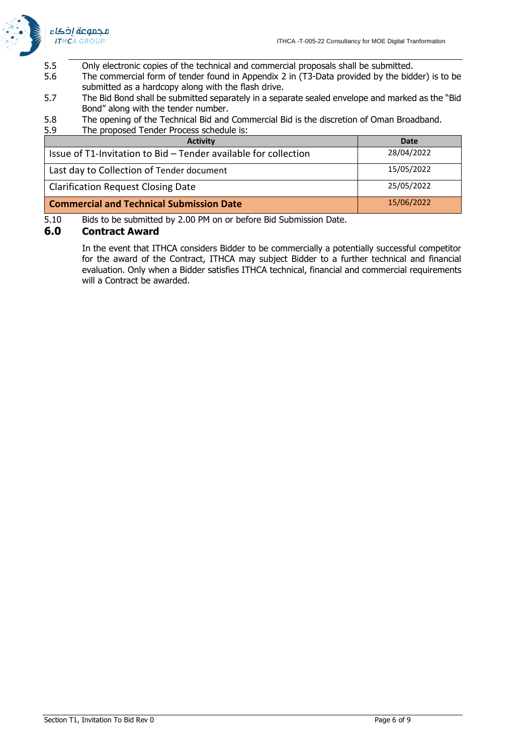

- 5.5 Only electronic copies of the technical and commercial proposals shall be submitted.
- 5.6 The commercial form of tender found in Appendix 2 in (T3-Data provided by the bidder) is to be submitted as a hardcopy along with the flash drive.
- 5.7 The Bid Bond shall be submitted separately in a separate sealed envelope and marked as the "Bid Bond" along with the tender number.
- 5.8 The opening of the Technical Bid and Commercial Bid is the discretion of Oman Broadband.
- 5.9 The proposed Tender Process schedule is:

| <b>Activity</b>                                                 | Date       |
|-----------------------------------------------------------------|------------|
| Issue of T1-Invitation to Bid - Tender available for collection | 28/04/2022 |
| Last day to Collection of Tender document                       | 15/05/2022 |
| <b>Clarification Request Closing Date</b>                       | 25/05/2022 |
| <b>Commercial and Technical Submission Date</b>                 | 15/06/2022 |

5.10 Bids to be submitted by 2.00 PM on or before Bid Submission Date.

## **6.0 Contract Award**

In the event that ITHCA considers Bidder to be commercially a potentially successful competitor for the award of the Contract, ITHCA may subject Bidder to a further technical and financial evaluation. Only when a Bidder satisfies ITHCA technical, financial and commercial requirements will a Contract be awarded.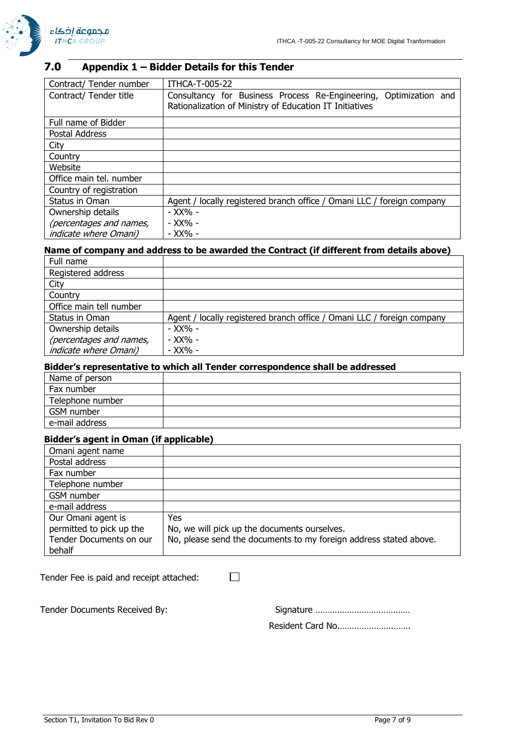

# **7.0 Appendix 1 – Bidder Details for this Tender**

| Contract/ Tender number      | ITHCA-T-005-22                                                         |
|------------------------------|------------------------------------------------------------------------|
| Contract/ Tender title       | Consultancy for Business Process Re-Engineering, Optimization and      |
|                              | Rationalization of Ministry of Education IT Initiatives                |
| Full name of Bidder          |                                                                        |
| Postal Address               |                                                                        |
| City                         |                                                                        |
| Country                      |                                                                        |
| Website                      |                                                                        |
| Office main tel. number      |                                                                        |
| Country of registration      |                                                                        |
| Status in Oman               | Agent / locally registered branch office / Omani LLC / foreign company |
| Ownership details            | - XX% -                                                                |
| (percentages and names,      | - XX% -                                                                |
| <i>indicate where Omani)</i> | - XX% -                                                                |

# **Name of company and address to be awarded the Contract (if different from details above)**

| Full name                    |                                                                        |
|------------------------------|------------------------------------------------------------------------|
| Registered address           |                                                                        |
| City                         |                                                                        |
| Country                      |                                                                        |
| Office main tell number      |                                                                        |
| Status in Oman               | Agent / locally registered branch office / Omani LLC / foreign company |
| Ownership details            | - XX% -                                                                |
| (percentages and names,      | - XX% -                                                                |
| <i>indicate where Omani)</i> | - XX% -                                                                |

## **Bidder's representative to which all Tender correspondence shall be addressed**

| Name of person   |  |
|------------------|--|
| Fax number       |  |
| Telephone number |  |
| GSM number       |  |
| e-mail address   |  |

### **Bidder's agent in Oman (if applicable)**

| Omani agent name         |                                                                   |
|--------------------------|-------------------------------------------------------------------|
| Postal address           |                                                                   |
| Fax number               |                                                                   |
| Telephone number         |                                                                   |
| GSM number               |                                                                   |
| e-mail address           |                                                                   |
| Our Omani agent is       | Yes.                                                              |
| permitted to pick up the | No, we will pick up the documents ourselves.                      |
| Tender Documents on our  | No, please send the documents to my foreign address stated above. |
| behalf                   |                                                                   |

 $\Box$ 

Tender Fee is paid and receipt attached:

Tender Documents Received By:

| Resident Card No |
|------------------|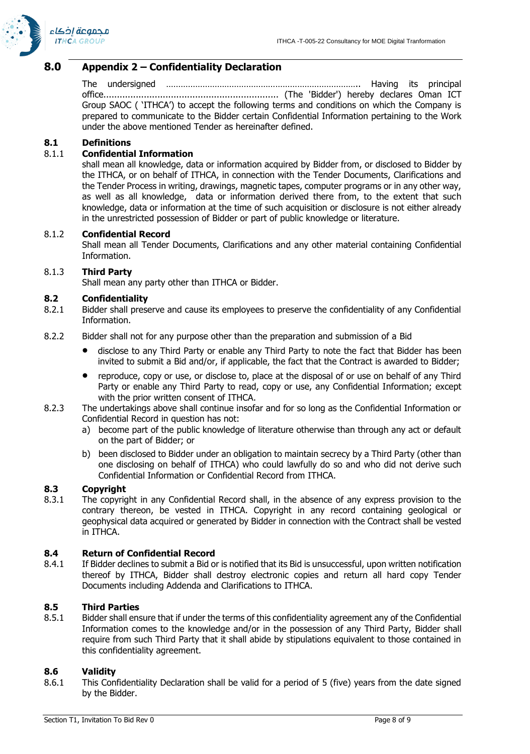

## **8.0 Appendix 2 – Confidentiality Declaration**

The undersigned …………………………………………………………………….. Having its principal office................................................................. (The 'Bidder') hereby declares Oman ICT Group SAOC ( 'ITHCA') to accept the following terms and conditions on which the Company is prepared to communicate to the Bidder certain Confidential Information pertaining to the Work under the above mentioned Tender as hereinafter defined.

### **8.1 Definitions**

### 8.1.1 **Confidential Information**

shall mean all knowledge, data or information acquired by Bidder from, or disclosed to Bidder by the ITHCA, or on behalf of ITHCA, in connection with the Tender Documents, Clarifications and the Tender Process in writing, drawings, magnetic tapes, computer programs or in any other way, as well as all knowledge, data or information derived there from, to the extent that such knowledge, data or information at the time of such acquisition or disclosure is not either already in the unrestricted possession of Bidder or part of public knowledge or literature.

#### 8.1.2 **Confidential Record**

Shall mean all Tender Documents, Clarifications and any other material containing Confidential Information.

#### 8.1.3 **Third Party**

Shall mean any party other than ITHCA or Bidder.

#### **8.2 Confidentiality**

- 8.2.1 Bidder shall preserve and cause its employees to preserve the confidentiality of any Confidential Information.
- 8.2.2 Bidder shall not for any purpose other than the preparation and submission of a Bid
	- disclose to any Third Party or enable any Third Party to note the fact that Bidder has been invited to submit a Bid and/or, if applicable, the fact that the Contract is awarded to Bidder;
	- reproduce, copy or use, or disclose to, place at the disposal of or use on behalf of any Third Party or enable any Third Party to read, copy or use, any Confidential Information; except with the prior written consent of ITHCA.
- 8.2.3 The undertakings above shall continue insofar and for so long as the Confidential Information or Confidential Record in question has not:
	- a) become part of the public knowledge of literature otherwise than through any act or default on the part of Bidder; or
	- b) been disclosed to Bidder under an obligation to maintain secrecy by a Third Party (other than one disclosing on behalf of ITHCA) who could lawfully do so and who did not derive such Confidential Information or Confidential Record from ITHCA.

## **8.3 Copyright**

8.3.1 The copyright in any Confidential Record shall, in the absence of any express provision to the contrary thereon, be vested in ITHCA. Copyright in any record containing geological or geophysical data acquired or generated by Bidder in connection with the Contract shall be vested in ITHCA.

### **8.4 Return of Confidential Record**

8.4.1 If Bidder declines to submit a Bid or is notified that its Bid is unsuccessful, upon written notification thereof by ITHCA, Bidder shall destroy electronic copies and return all hard copy Tender Documents including Addenda and Clarifications to ITHCA.

#### **8.5 Third Parties**

8.5.1 Bidder shall ensure that if under the terms of this confidentiality agreement any of the Confidential Information comes to the knowledge and/or in the possession of any Third Party, Bidder shall require from such Third Party that it shall abide by stipulations equivalent to those contained in this confidentiality agreement.

#### **8.6 Validity**

8.6.1 This Confidentiality Declaration shall be valid for a period of 5 (five) years from the date signed by the Bidder.